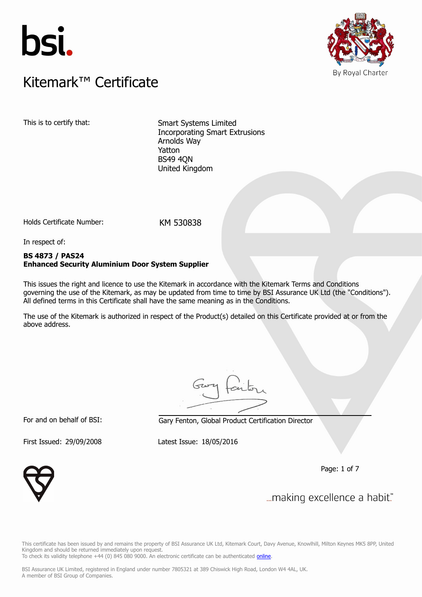



# $K$ itemark $W$  Certificate Kitemark™ Certificate

This is to certify that: Smart Systems Limited Incorporating Smart Extrusions Arnolds Way Yatton BS49 4QN United Kingdom

Holds Certificate Number: KM 530838

In respect of:

# **BS 4873 / PAS24 Enhanced Security Aluminium Door System Supplier**

This issues the right and licence to use the Kitemark in accordance with the Kitemark Terms and Conditions governing the use of the Kitemark, as may be updated from time to time by BSI Assurance UK Ltd (the "Conditions"). All defined terms in this Certificate shall have the same meaning as in the Conditions.

The use of the Kitemark is authorized in respect of the Product(s) detailed on this Certificate provided at or from the above address.

For and on behalf of BSI: Gary Fenton, Global Product Certification Director

First Issued: 29/09/2008 Latest Issue: 18/05/2016

Page: 1 of 7



... making excellence a habit."

This certificate has been issued by and remains the property of BSI Assurance UK Ltd, Kitemark Court, Davy Avenue, Knowlhill, Milton Keynes MK5 8PP, United Kingdom and should be returned immediately upon request. To check its validity telephone +44 (0) 845 080 9000. An electronic certificate can be authenticated *[online](https://pgplus.bsigroup.com/CertificateValidation/CertificateValidator.aspx?CertificateNumber=KM+530838&ReIssueDate=18%2f05%2f2016&Template=uk)*.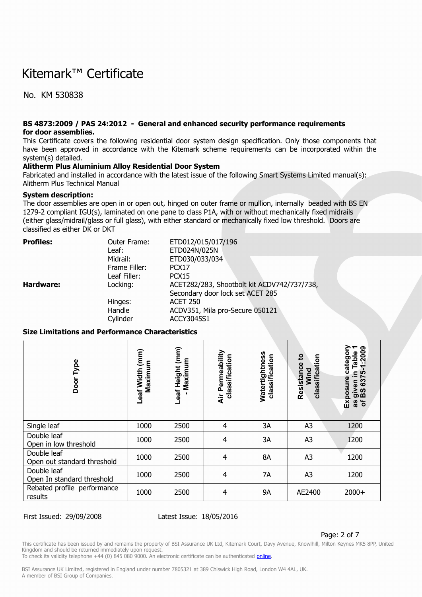No. KM 530838

#### **BS 4873:2009 / PAS 24:2012 - General and enhanced security performance requirements for door assemblies.**

This Certificate covers the following residential door system design specification. Only those components that have been approved in accordance with the Kitemark scheme requirements can be incorporated within the system(s) detailed.

### **Alitherm Plus Aluminium Alloy Residential Door System**

Fabricated and installed in accordance with the latest issue of the following Smart Systems Limited manual(s): Alitherm Plus Technical Manual

### **System description:**

The door assemblies are open in or open out, hinged on outer frame or mullion, internally beaded with BS EN 1279-2 compliant IGU(s), laminated on one pane to class P1A, with or without mechanically fixed midrails (either glass/midrail/glass or full glass), with either standard or mechanically fixed low threshold. Doors are classified as either DK or DKT

| <b>Profiles:</b> | Outer Frame:  | ETD012/015/017/196                          |
|------------------|---------------|---------------------------------------------|
|                  | Leaf:         | ETD024N/025N                                |
|                  | Midrail:      | ETD030/033/034                              |
|                  | Frame Filler: | PCX <sub>17</sub>                           |
|                  | Leaf Filler:  | PCX <sub>15</sub>                           |
| Hardware:        | Locking:      | ACET282/283, Shootbolt kit ACDV742/737/738, |
|                  |               | Secondary door lock set ACET 285            |
|                  | Hinges:       | <b>ACET 250</b>                             |
|                  | Handle        | ACDV351, Mila pro-Secure 050121             |
|                  | Cylinder      | ACCY3045S1                                  |

### **Size Limitations and Performance Characteristics**

| Type<br>Door                               | Leaf Width (mm)<br>Maximum | Leaf Height (mm)<br>Maximum | Air Permeability<br>classification | Watertightness<br>classification | Resistance to<br>classification<br>Wind | 6375-1:2009<br><b>Table</b><br>Exposure categor<br>≘<br>given<br>BS 63<br>৳<br>æ |
|--------------------------------------------|----------------------------|-----------------------------|------------------------------------|----------------------------------|-----------------------------------------|----------------------------------------------------------------------------------|
| Single leaf                                | 1000                       | 2500                        | $\overline{4}$                     | 3A                               | A <sub>3</sub>                          | 1200                                                                             |
| Double leaf<br>Open in low threshold       | 1000                       | 2500                        | $\overline{4}$                     | 3A                               | A <sub>3</sub>                          | 1200                                                                             |
| Double leaf<br>Open out standard threshold | 1000                       | 2500                        | $\overline{4}$                     | 8A                               | A <sub>3</sub>                          | 1200                                                                             |
| Double leaf<br>Open In standard threshold  | 1000                       | 2500                        | $\overline{4}$                     | 7A                               | A <sub>3</sub>                          | 1200                                                                             |
| Rebated profile performance<br>results     | 1000                       | 2500                        | $\overline{4}$                     | <b>9A</b>                        | AE2400                                  | $2000+$                                                                          |

### First Issued: 29/09/2008 Latest Issue: 18/05/2016

#### Page: 2 of 7

This certificate has been issued by and remains the property of BSI Assurance UK Ltd, Kitemark Court, Davy Avenue, Knowlhill, Milton Keynes MK5 8PP, United Kingdom and should be returned immediately upon request.

To check its validity telephone +44 (0) 845 080 9000. An electronic certificate can be authenticated *[online](https://pgplus.bsigroup.com/CertificateValidation/CertificateValidator.aspx?CertificateNumber=KM+530838&ReIssueDate=18%2f05%2f2016&Template=uk)*.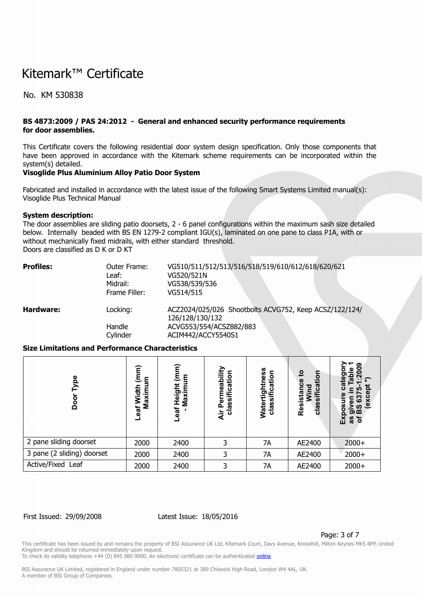No. KM 530838

# **BS 4873:2009 / PAS 24:2012 - General and enhanced security performance requirements for door assemblies.**

This Certificate covers the following residential door system design specification. Only those components that have been approved in accordance with the Kitemark scheme requirements can be incorporated within the system(s) detailed.

### **Visoglide Plus Aluminium Alloy Patio Door System**

Fabricated and installed in accordance with the latest issue of the following Smart Systems Limited manual(s): Visoglide Plus Technical Manual

#### **System description:**

The door assemblies are sliding patio doorsets, 2 - 6 panel configurations within the maximum sash size detailed below. Internally beaded with BS EN 1279-2 compliant IGU(s), laminated on one pane to class P1A, with or without mechanically fixed midrails, with either standard threshold. Doors are classified as D K or D KT

| <b>Profiles:</b> | Outer Frame:<br>Leaf:<br>Midrail:<br>Frame Filler: | VG510/511/512/513/516/518/519/610/612/618/620/621<br>VG520/521N<br>VG538/539/536<br>VG514/515                              |
|------------------|----------------------------------------------------|----------------------------------------------------------------------------------------------------------------------------|
| Hardware:        | Locking:<br>Handle<br>Cylinder                     | ACZ2024/025/026 Shootbolts ACVG752, Keep ACSZ/122/124/<br>126/128/130/132<br>ACVG553/554/ACSZ882/883<br>ACIM442/ACCY5540S1 |

### **Size Limitations and Performance Characteristics**

| e<br>0<br>О<br>ŏ<br>Ó      | έ<br>ε<br>看<br>Maxim<br>Š<br>eaf | (mm)<br>ξ<br>Height<br>Maxim<br><b>tea-</b> | Permeability<br>classificatio<br>Äir | ess<br>cation<br><b>ig</b><br>:≣ّ<br><b>Watert</b><br>clas | 9<br>등<br>Φ<br>ātī<br>o<br><b>Resist</b><br>clas | ග<br>о<br>ate<br>.ಇ<br>מו<br>5<br>ശ<br>s,<br>ທ<br>8<br><del>ັ</del> ອຜັ<br>区<br>৳<br><b>as</b> |
|----------------------------|----------------------------------|---------------------------------------------|--------------------------------------|------------------------------------------------------------|--------------------------------------------------|------------------------------------------------------------------------------------------------|
| 2 pane sliding doorset     | 2000                             | 2400                                        | 3                                    | 7A                                                         | AE2400                                           | $2000+$                                                                                        |
| 3 pane (2 sliding) doorset | 2000                             | 2400                                        | 3                                    | 7A                                                         | AE2400                                           | $2000+$                                                                                        |
| Active/Fixed Leaf          | 2000                             | 2400                                        | 3                                    | 7A                                                         | AE2400                                           | $2000+$                                                                                        |

### First Issued: 29/09/2008 Latest Issue: 18/05/2016

Page: 3 of 7

This certificate has been issued by and remains the property of BSI Assurance UK Ltd, Kitemark Court, Davy Avenue, Knowlhill, Milton Keynes MK5 8PP, United Kingdom and should be returned immediately upon request.

To check its validity telephone +44 (0) 845 080 9000. An electronic certificate can be authenticated *[online](https://pgplus.bsigroup.com/CertificateValidation/CertificateValidator.aspx?CertificateNumber=KM+530838&ReIssueDate=18%2f05%2f2016&Template=uk)*.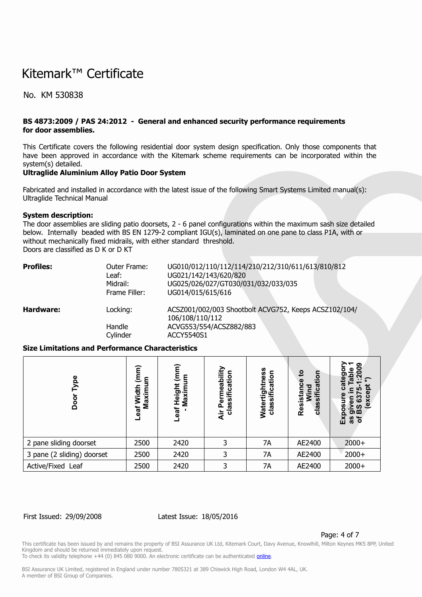No. KM 530838

# **BS 4873:2009 / PAS 24:2012 - General and enhanced security performance requirements for door assemblies.**

This Certificate covers the following residential door system design specification. Only those components that have been approved in accordance with the Kitemark scheme requirements can be incorporated within the system(s) detailed.

### **Ultraglide Aluminium Alloy Patio Door System**

Fabricated and installed in accordance with the latest issue of the following Smart Systems Limited manual(s): Ultraglide Technical Manual

#### **System description:**

The door assemblies are sliding patio doorsets, 2 - 6 panel configurations within the maximum sash size detailed below. Internally beaded with BS EN 1279-2 compliant IGU(s), laminated on one pane to class P1A, with or without mechanically fixed midrails, with either standard threshold. Doors are classified as D K or D KT

| <b>Profiles:</b> | Outer Frame:<br>Leaf:<br>Midrail:<br>Frame Filler: | UG010/012/110/112/114/210/212/310/611/613/810/812<br>UG021/142/143/620/820<br>UG025/026/027/GT030/031/032/033/035<br>UG014/015/615/616 |
|------------------|----------------------------------------------------|----------------------------------------------------------------------------------------------------------------------------------------|
| Hardware:        | Locking:<br>Handle<br>Cylinder                     | ACSZ001/002/003 Shootbolt ACVG752, Keeps ACSZ102/104/<br>106/108/110/112<br>ACVG553/554/ACSZ882/883<br>ACCY5540S1                      |

### **Size Limitations and Performance Characteristics**

| Φ<br>٥<br>o<br>Ŏ           | έ<br>٤<br>Ξ<br>듕<br>Maxi<br>ξ<br>-eaf | (mm)<br>ξ<br>Height<br>Ē<br>Maxir<br>Leaf | Permeability<br>classificatio<br>Äir | ess<br>cation<br>Watertig<br>اَّ ا<br>clas | $\mathbf{c}$<br>등<br>ᢐ<br>o<br>Resist<br>ഗ<br>clas | ග<br><b>co</b><br>ທ<br>႙ၟ<br>$\overline{a}$<br>띳<br>'ŏ<br>8g |
|----------------------------|---------------------------------------|-------------------------------------------|--------------------------------------|--------------------------------------------|----------------------------------------------------|--------------------------------------------------------------|
| 2 pane sliding doorset     | 2500                                  | 2420                                      | 3                                    | 7A                                         | AE2400                                             | $2000+$                                                      |
| 3 pane (2 sliding) doorset | 2500                                  | 2420                                      | 3                                    | 7A                                         | AE2400                                             | $2000+$                                                      |
| Active/Fixed Leaf          | 2500                                  | 2420                                      | 3                                    | 7A                                         | AE2400                                             | $2000+$                                                      |

#### First Issued: 29/09/2008 Latest Issue: 18/05/2016

Page: 4 of 7

This certificate has been issued by and remains the property of BSI Assurance UK Ltd, Kitemark Court, Davy Avenue, Knowlhill, Milton Keynes MK5 8PP, United Kingdom and should be returned immediately upon request.

To check its validity telephone +44 (0) 845 080 9000. An electronic certificate can be authenticated *[online](https://pgplus.bsigroup.com/CertificateValidation/CertificateValidator.aspx?CertificateNumber=KM+530838&ReIssueDate=18%2f05%2f2016&Template=uk)*.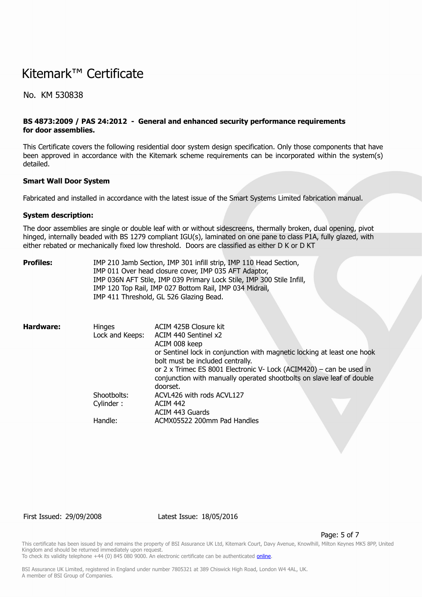No. KM 530838

# **BS 4873:2009 / PAS 24:2012 - General and enhanced security performance requirements for door assemblies.**

This Certificate covers the following residential door system design specification. Only those components that have been approved in accordance with the Kitemark scheme requirements can be incorporated within the system(s) detailed.

#### **Smart Wall Door System**

Fabricated and installed in accordance with the latest issue of the Smart Systems Limited fabrication manual.

#### **System description:**

The door assemblies are single or double leaf with or without sidescreens, thermally broken, dual opening, pivot hinged, internally beaded with BS 1279 compliant IGU(s), laminated on one pane to class P1A, fully glazed, with either rebated or mechanically fixed low threshold. Doors are classified as either D K or D KT

| Profiles: |                                  | IMP 210 Jamb Section, IMP 301 infill strip, IMP 110 Head Section,<br>IMP 011 Over head closure cover, IMP 035 AFT Adaptor,<br>IMP 036N AFT Stile, IMP 039 Primary Lock Stile, IMP 300 Stile Infill,<br>IMP 120 Top Rail, IMP 027 Bottom Rail, IMP 034 Midrail,<br>IMP 411 Threshold, GL 526 Glazing Bead.                                 |
|-----------|----------------------------------|-------------------------------------------------------------------------------------------------------------------------------------------------------------------------------------------------------------------------------------------------------------------------------------------------------------------------------------------|
| Hardware: | <b>Hinges</b><br>Lock and Keeps: | ACIM 425B Closure kit<br>ACIM 440 Sentinel x2<br>ACIM 008 keep<br>or Sentinel lock in conjunction with magnetic locking at least one hook<br>bolt must be included centrally.<br>or 2 x Trimec ES 8001 Electronic V- Lock (ACIM420) – can be used in<br>conjunction with manually operated shootbolts on slave leaf of double<br>doorset. |
|           | Shootbolts:<br>Cylinder:         | ACVL426 with rods ACVL127<br><b>ACIM 442</b><br>ACIM 443 Guards                                                                                                                                                                                                                                                                           |
|           | Handle:                          | ACMX05522 200mm Pad Handles                                                                                                                                                                                                                                                                                                               |

First Issued: 29/09/2008 Latest Issue: 18/05/2016

Page: 5 of 7

This certificate has been issued by and remains the property of BSI Assurance UK Ltd, Kitemark Court, Davy Avenue, Knowlhill, Milton Keynes MK5 8PP, United Kingdom and should be returned immediately upon request.

To check its validity telephone +44 (0) 845 080 9000. An electronic certificate can be authenticated *[online](https://pgplus.bsigroup.com/CertificateValidation/CertificateValidator.aspx?CertificateNumber=KM+530838&ReIssueDate=18%2f05%2f2016&Template=uk)*.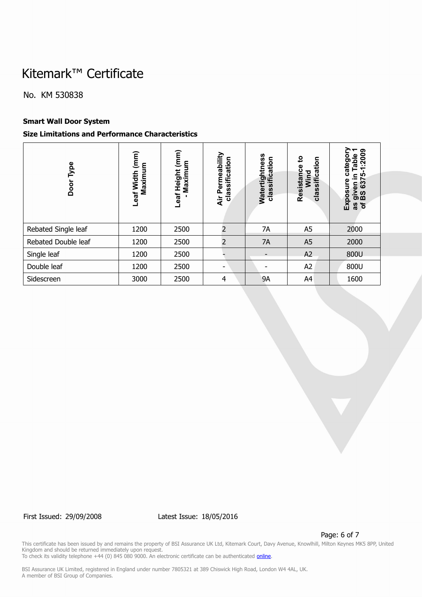No. KM 530838

# **Smart Wall Door System**

# **Size Limitations and Performance Characteristics**

| Type<br>Door        | $(\mathsf{mm})$<br>Maximum<br>Leaf Width | (mm)<br>Maximum<br>Leaf Height | Permeability<br>classification<br>Äir | Watertightness<br>5<br>$\frac{1}{2}$<br>classifi | ್ಷಿ<br>classification<br>Resistance<br>Wind | ᠆<br>1:2009<br>Table<br>catego<br><b>LO</b><br>으.<br>637<br>Exposure<br>given<br>BS 63<br>ð<br>8g |
|---------------------|------------------------------------------|--------------------------------|---------------------------------------|--------------------------------------------------|---------------------------------------------|---------------------------------------------------------------------------------------------------|
| Rebated Single leaf | 1200                                     | 2500                           | $\overline{2}$                        | 7A                                               | A <sub>5</sub>                              | 2000                                                                                              |
| Rebated Double leaf | 1200                                     | 2500                           | 2                                     | 7A                                               | A <sub>5</sub>                              | 2000                                                                                              |
| Single leaf         | 1200                                     | 2500                           |                                       | $\overline{\phantom{a}}$                         | A2                                          | 800U                                                                                              |
| Double leaf         | 1200                                     | 2500                           | $\overline{\phantom{0}}$              |                                                  | A2                                          | 800U                                                                                              |
| Sidescreen          | 3000                                     | 2500                           | $\overline{4}$                        | <b>9A</b>                                        | A4                                          | 1600                                                                                              |

First Issued: 29/09/2008 Latest Issue: 18/05/2016

Page: 6 of 7

This certificate has been issued by and remains the property of BSI Assurance UK Ltd, Kitemark Court, Davy Avenue, Knowlhill, Milton Keynes MK5 8PP, United Kingdom and should be returned immediately upon request. To check its validity telephone +44 (0) 845 080 9000. An electronic certificate can be authenticated **<u>[online](https://pgplus.bsigroup.com/CertificateValidation/CertificateValidator.aspx?CertificateNumber=KM+530838&ReIssueDate=18%2f05%2f2016&Template=uk)</u>.**